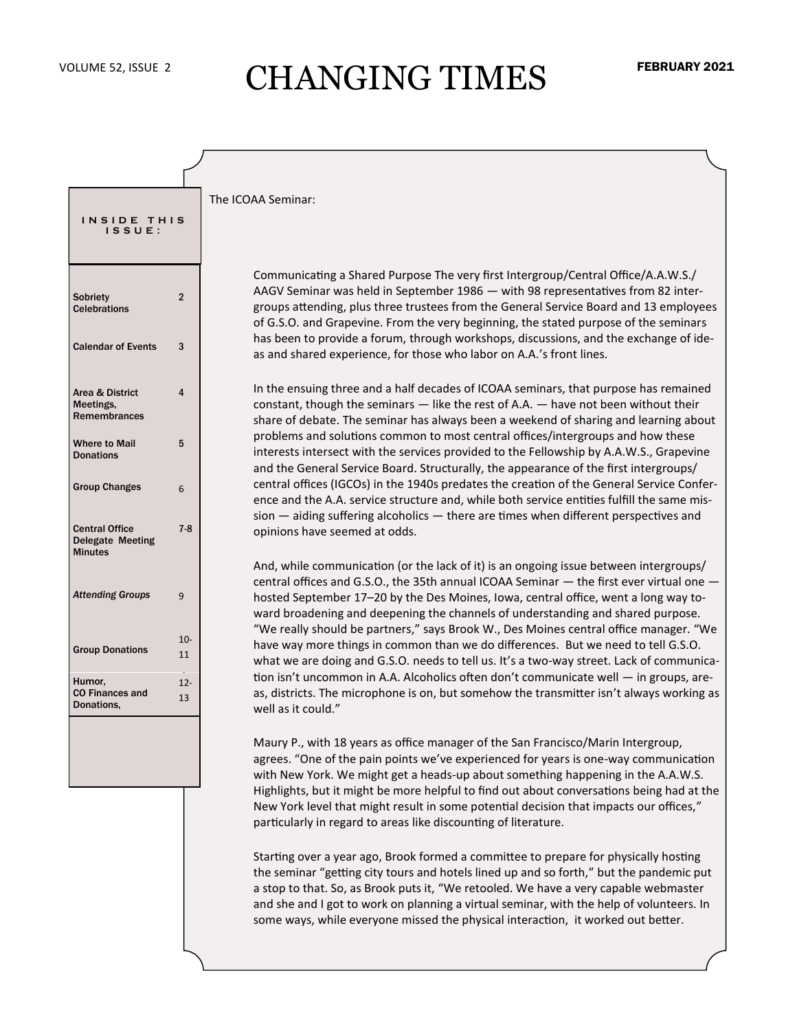# VOLUME 52, ISSUE 2 CHANGING TIMES

#### The ICOAA Seminar:

Communicating a Shared Purpose The very first Intergroup/Central Office/A.A.W.S./ AAGV Seminar was held in September 1986 — with 98 representatives from 82 intergroups attending, plus three trustees from the General Service Board and 13 employees of G.S.O. and Grapevine. From the very beginning, the stated purpose of the seminars has been to provide a forum, through workshops, discussions, and the exchange of ideas and shared experience, for those who labor on A.A.'s front lines.

In the ensuing three and a half decades of ICOAA seminars, that purpose has remained constant, though the seminars — like the rest of A.A. — have not been without their share of debate. The seminar has always been a weekend of sharing and learning about problems and solutions common to most central offices/intergroups and how these interests intersect with the services provided to the Fellowship by A.A.W.S., Grapevine and the General Service Board. Structurally, the appearance of the first intergroups/ central offices (IGCOs) in the 1940s predates the creation of the General Service Conference and the A.A. service structure and, while both service entities fulfill the same mission — aiding suffering alcoholics — there are times when different perspectives and opinions have seemed at odds.

And, while communication (or the lack of it) is an ongoing issue between intergroups/ central offices and G.S.O., the 35th annual ICOAA Seminar — the first ever virtual one hosted September 17–20 by the Des Moines, Iowa, central office, went a long way toward broadening and deepening the channels of understanding and shared purpose. "We really should be partners," says Brook W., Des Moines central office manager. "We have way more things in common than we do differences. But we need to tell G.S.O. what we are doing and G.S.O. needs to tell us. It's a two-way street. Lack of communication isn't uncommon in A.A. Alcoholics often don't communicate well — in groups, areas, districts. The microphone is on, but somehow the transmitter isn't always working as well as it could."

Maury P., with 18 years as office manager of the San Francisco/Marin Intergroup, agrees. "One of the pain points we've experienced for years is one-way communication with New York. We might get a heads-up about something happening in the A.A.W.S. Highlights, but it might be more helpful to find out about conversations being had at the New York level that might result in some potential decision that impacts our offices," particularly in regard to areas like discounting of literature.

Starting over a year ago, Brook formed a committee to prepare for physically hosting the seminar "getting city tours and hotels lined up and so forth," but the pandemic put a stop to that. So, as Brook puts it, "We retooled. We have a very capable webmaster and she and I got to work on planning a virtual seminar, with the help of volunteers. In some ways, while everyone missed the physical interaction, it worked out better.

| INSIDE THIS<br>ISSUE:                                              |                |
|--------------------------------------------------------------------|----------------|
| Sobriety<br><b>Celebrations</b>                                    | $\overline{2}$ |
| <b>Calendar of Events</b>                                          | 3              |
| Area & District<br>Meetings,<br><b>Remembrances</b>                | 4              |
| <b>Where to Mail</b><br><b>Donations</b>                           | 5              |
| <b>Group Changes</b>                                               | 6              |
| <b>Central Office</b><br><b>Delegate Meeting</b><br><b>Minutes</b> | $7 - 8$        |
| <b>Attending Groups</b>                                            | 9              |
| <b>Group Donations</b>                                             | $10 -$<br>11   |
| Humor,<br><b>CO Finances and</b><br>Donations.                     | $12 -$<br>13   |
|                                                                    |                |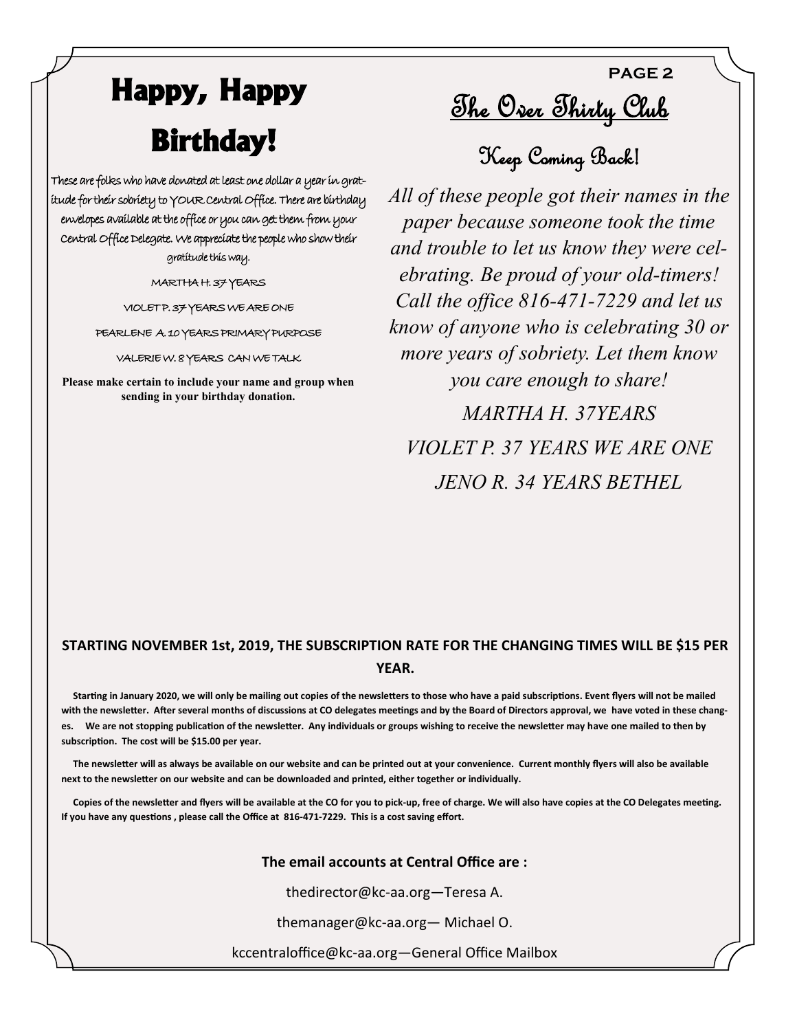# **Happy, Happy Birthday!**

These are folks who have donated at least one dollar a year in gratitude for their sobriety to YOUR Central Office. There are birthday envelopes available at the office or you can get them from your Central Office Delegate. We appreciate the people who show their gratitude this way.

MARTHA H. 37 YEARS

VIOLET P. 37 YEARS WE ARE ONE

PEARLENE A. 10 YEARS PRIMARY PURPOSE

VALERIE W. 8 YEARS CAN WE TALK

**Please make certain to include your name and group when sending in your birthday donation.**

<u>The Over Thirty Club</u>

**PAGE 2**

Keep Coming Back!

*All of these people got their names in the paper because someone took the time and trouble to let us know they were celebrating. Be proud of your old-timers! Call the office 816-471-7229 and let us know of anyone who is celebrating 30 or more years of sobriety. Let them know you care enough to share! MARTHA H. 37YEARS VIOLET P. 37 YEARS WE ARE ONE JENO R. 34 YEARS BETHEL*

### **STARTING NOVEMBER 1st, 2019, THE SUBSCRIPTION RATE FOR THE CHANGING TIMES WILL BE \$15 PER YEAR.**

 **Starting in January 2020, we will only be mailing out copies of the newsletters to those who have a paid subscriptions. Event flyers will not be mailed with the newsletter. After several months of discussions at CO delegates meetings and by the Board of Directors approval, we have voted in these changes. We are not stopping publication of the newsletter. Any individuals or groups wishing to receive the newsletter may have one mailed to then by subscription. The cost will be \$15.00 per year.**

 **The newsletter will as always be available on our website and can be printed out at your convenience. Current monthly flyers will also be available next to the newsletter on our website and can be downloaded and printed, either together or individually.**

 **Copies of the newsletter and flyers will be available at the CO for you to pick-up, free of charge. We will also have copies at the CO Delegates meeting. If you have any questions , please call the Office at 816-471-7229. This is a cost saving effort.**

#### **The email accounts at Central Office are :**

thedirector@kc-aa.org—Teresa A.

themanager@kc-aa.org— Michael O.

kccentraloffice@kc-aa.org—General Office Mailbox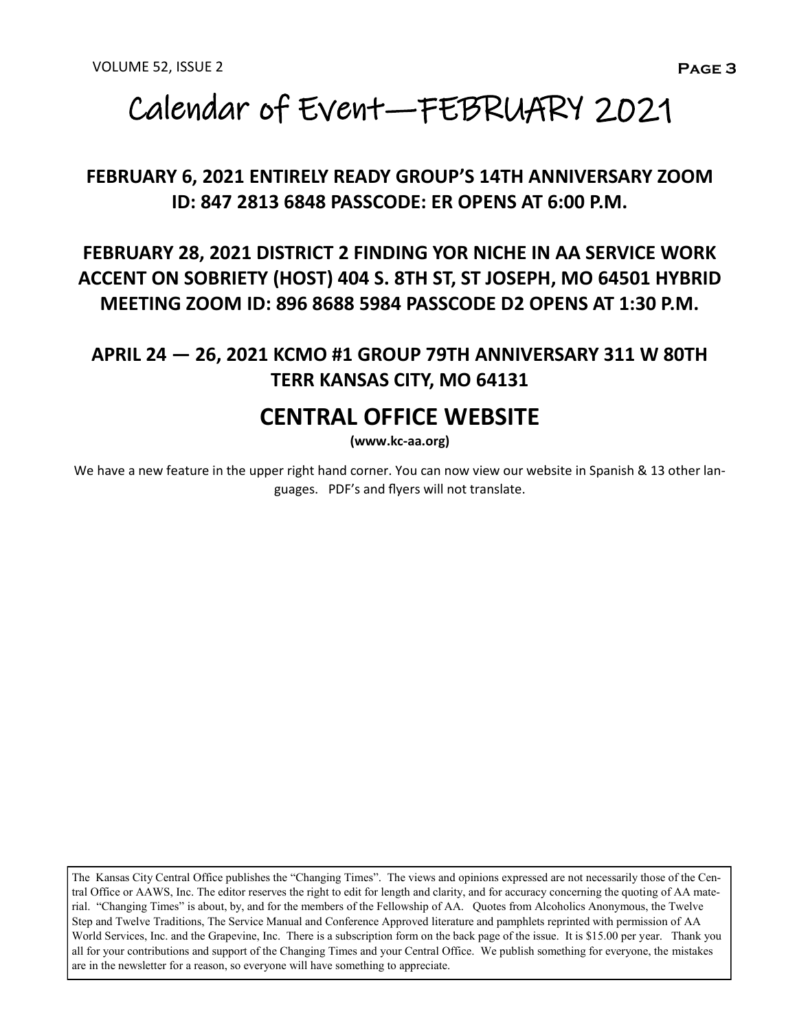# Calendar of Event—FEBRUARY 2021

### **FEBRUARY 6, 2021 ENTIRELY READY GROUP'S 14TH ANNIVERSARY ZOOM ID: 847 2813 6848 PASSCODE: ER OPENS AT 6:00 P.M.**

**FEBRUARY 28, 2021 DISTRICT 2 FINDING YOR NICHE IN AA SERVICE WORK ACCENT ON SOBRIETY (HOST) 404 S. 8TH ST, ST JOSEPH, MO 64501 HYBRID MEETING ZOOM ID: 896 8688 5984 PASSCODE D2 OPENS AT 1:30 P.M.**

### **APRIL 24 — 26, 2021 KCMO #1 GROUP 79TH ANNIVERSARY 311 W 80TH TERR KANSAS CITY, MO 64131**

## **CENTRAL OFFICE WEBSITE**

**(www.kc-aa.org)**

We have a new feature in the upper right hand corner. You can now view our website in Spanish & 13 other languages. PDF's and flyers will not translate.

The Kansas City Central Office publishes the "Changing Times". The views and opinions expressed are not necessarily those of the Central Office or AAWS, Inc. The editor reserves the right to edit for length and clarity, and for accuracy concerning the quoting of AA material. "Changing Times" is about, by, and for the members of the Fellowship of AA. Quotes from Alcoholics Anonymous, the Twelve Step and Twelve Traditions, The Service Manual and Conference Approved literature and pamphlets reprinted with permission of AA World Services, Inc. and the Grapevine, Inc. There is a subscription form on the back page of the issue. It is \$15.00 per year. Thank you all for your contributions and support of the Changing Times and your Central Office. We publish something for everyone, the mistakes are in the newsletter for a reason, so everyone will have something to appreciate.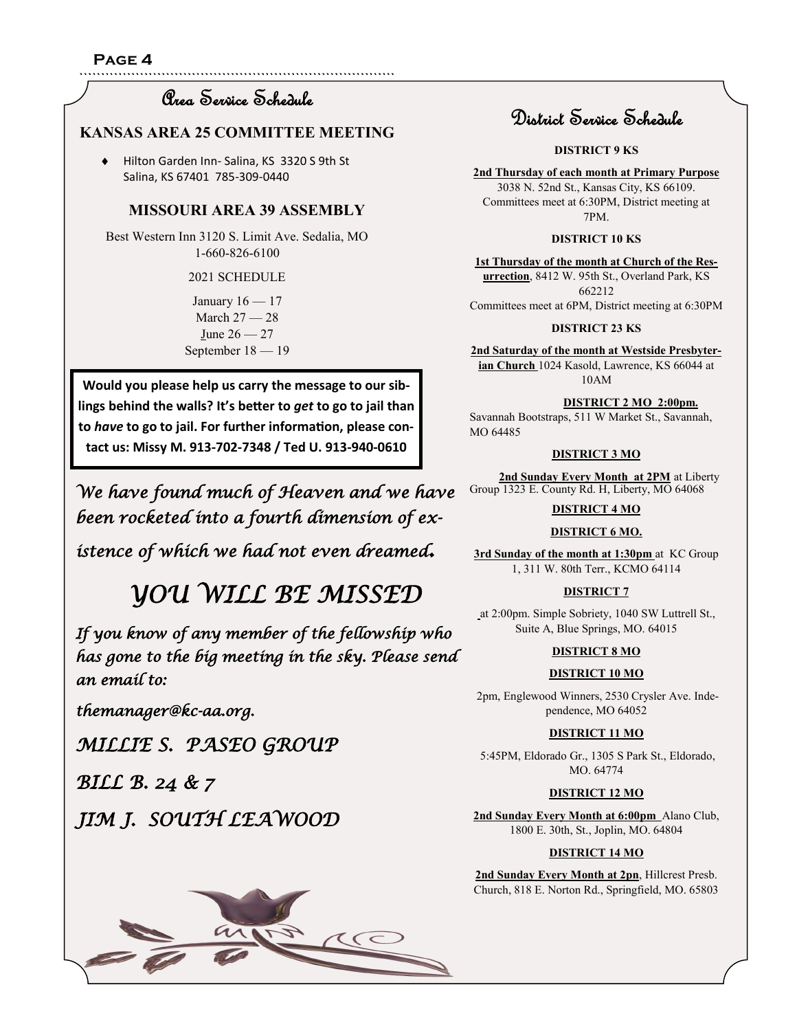`````````````````````````````````````````````````````````````````````````

### Area Service Schedule

#### **KANSAS AREA 25 COMMITTEE MEETING**

 Hilton Garden Inn- Salina, KS 3320 S 9th St Salina, KS 67401 785-309-0440

#### **MISSOURI AREA 39 ASSEMBLY**

Best Western Inn 3120 S. Limit Ave. Sedalia, MO 1-660-826-6100

#### 2021 SCHEDULE

January  $16 - 17$ March 27 — 28 June 26 — 27 September 18 — 19

**Would you please help us carry the message to our siblings behind the walls? It's better to** *get* **to go to jail than to** *have* **to go to jail. For further information, please contact us: Missy M. 913-702-7348 / Ted U. 913-940-0610**

*We have found much of Heaven and we have been rocketed into a fourth dimension of ex-*

*istence of which we had not even dreamed.* 

 *YOU WILL BE MISSED* 

*If you know of any member of the fellowship who has gone to the big meeting in the sky. Please send an email to:* 

*themanager@kc-aa.org.* 

*MILLIE S. PASEO GROUP* 

*BILL B. 24 & 7* 

*JIM J. SOUTH LEAWOOD* 



### District Service Schedule

**DISTRICT 9 KS**

**2nd Thursday of each month at Primary Purpose** 3038 N. 52nd St., Kansas City, KS 66109. Committees meet at 6:30PM, District meeting at

7PM.

#### **DISTRICT 10 KS**

**1st Thursday of the month at Church of the Resurrection**, 8412 W. 95th St., Overland Park, KS 662212 Committees meet at 6PM, District meeting at 6:30PM

#### **DISTRICT 23 KS**

**2nd Saturday of the month at Westside Presbyterian Church** 1024 Kasold, Lawrence, KS 66044 at 10AM

#### **DISTRICT 2 MO 2:00pm.**

Savannah Bootstraps, 511 W Market St., Savannah, MO 64485

2nd Sunday Every Month at 2PM at Liberty Group 1323 E. County Rd. H, Liberty, MO 64068

#### **DISTRICT 4 MO**

#### **DISTRICT 6 MO.**

**3rd Sunday of the month at 1:30pm** at KC Group 1, 311 W. 80th Terr., KCMO 64114

#### **DISTRICT 7**

at 2:00pm. Simple Sobriety, 1040 SW Luttrell St., Suite A, Blue Springs, MO. 64015

#### **DISTRICT 8 MO**

#### **DISTRICT 10 MO**

2pm, Englewood Winners, 2530 Crysler Ave. Independence, MO 64052

#### **DISTRICT 11 MO**

5:45PM, Eldorado Gr., 1305 S Park St., Eldorado, MO. 64774

#### **DISTRICT 12 MO**

**2nd Sunday Every Month at 6:00pm** Alano Club, 1800 E. 30th, St., Joplin, MO. 64804

#### **DISTRICT 14 MO**

**2nd Sunday Every Month at 2pn**, Hillcrest Presb. Church, 818 E. Norton Rd., Springfield, MO. 65803

#### **DISTRICT 3 MO**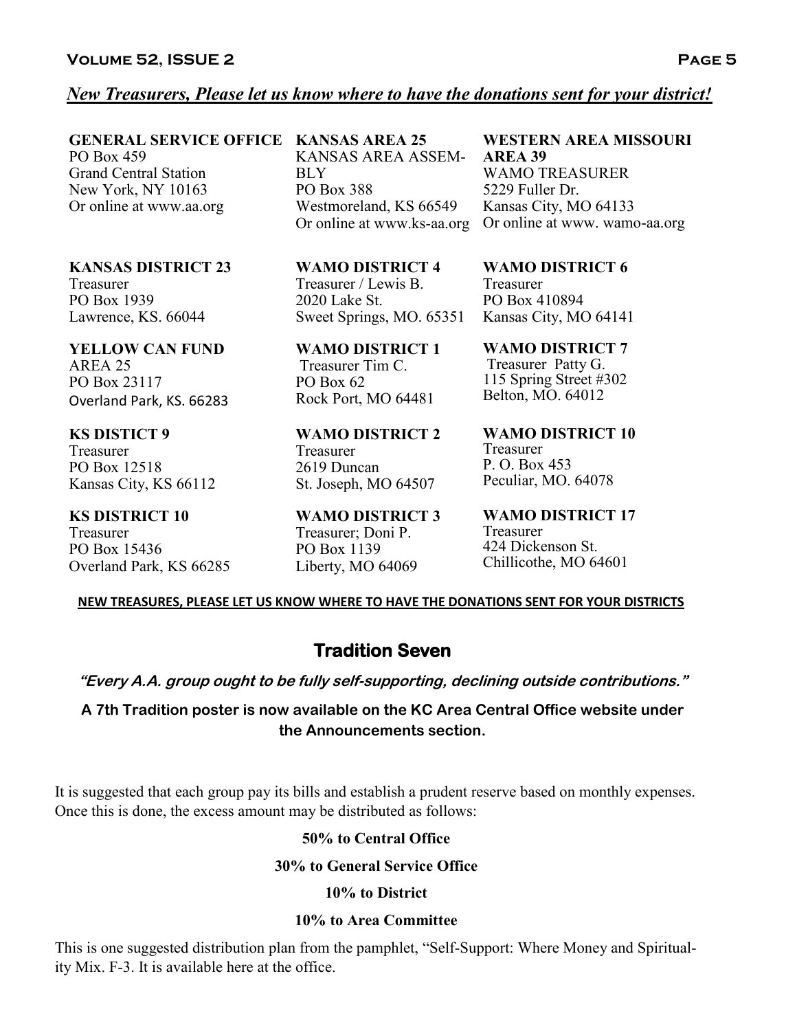### *New Treasurers, Please let us know where to have the donations sent for your district!*

**GENERAL SERVICE OFFICE KANSAS AREA 25**  PO Box 459 Grand Central Station New York, NY 10163 Or online at www.aa.org

**KANSAS DISTRICT 23**  Treasurer PO Box 1939 Lawrence, KS. 66044

**YELLOW CAN FUND** AREA 25 PO Box 23117 Overland Park, KS. 66283

**KS DISTICT 9** Treasurer PO Box 12518 Kansas City, KS 66112

**KS DISTRICT 10**  Treasurer PO Box 15436 Overland Park, KS 66285 KANSAS AREA ASSEM-BLY PO Box 388 Westmoreland, KS 66549

**WAMO DISTRICT 4**  Treasurer / Lewis B. 2020 Lake St. Sweet Springs, MO. 65351

**WAMO DISTRICT 1** Treasurer Tim C. PO Box 62 Rock Port, MO 64481

**WAMO DISTRICT 2**  Treasurer 2619 Duncan St. Joseph, MO 64507

**WAMO DISTRICT 3**  Treasurer; Doni P. PO Box 1139 Liberty, MO 64069

**WAMO DISTRICT 7**

**WAMO DISTRICT 10**  Treasurer

**WAMO DISTRICT 17**  Treasurer 424 Dickenson St. Chillicothe, MO 64601

#### **NEW TREASURES, PLEASE LET US KNOW WHERE TO HAVE THE DONATIONS SENT FOR YOUR DISTRICTS**

**Tradition Seven** 

**"Every A.A. group ought to be fully self-supporting, declining outside contributions."**

**A 7th Tradition poster is now available on the KC Area Central Office website under the Announcements section.**

It is suggested that each group pay its bills and establish a prudent reserve based on monthly expenses. Once this is done, the excess amount may be distributed as follows:

#### **50% to Central Office**

#### **30% to General Service Office**

#### **10% to District**

#### **10% to Area Committee**

This is one suggested distribution plan from the pamphlet, "Self-Support: Where Money and Spirituality Mix. F-3. It is available here at the office.

#### **WESTERN AREA MISSOURI AREA 39**

Or online at www.ks-aa.org Or online at www. wamo-aa.org WAMO TREASURER 5229 Fuller Dr. Kansas City, MO 64133

> **WAMO DISTRICT 6**  Treasurer PO Box 410894 Kansas City, MO 64141

Treasurer Patty G. 115 Spring Street #302 Belton, MO. 64012

P. O. Box 453 Peculiar, MO. 64078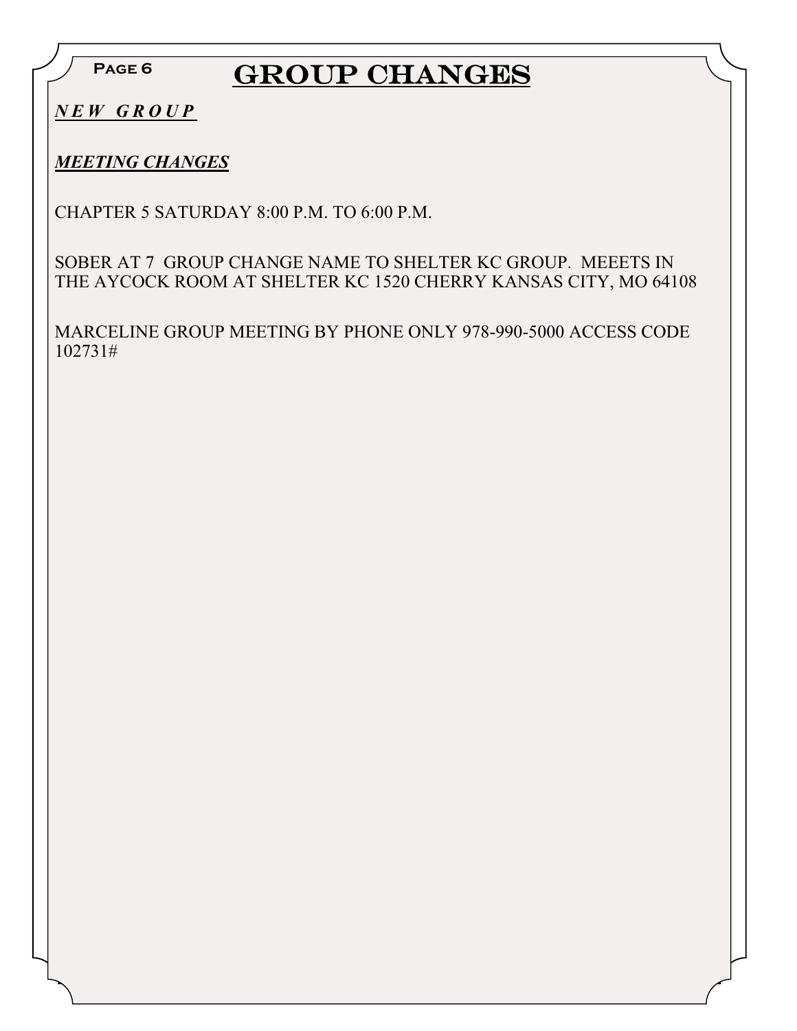## **GROUP CHANGES**

*N E W G R O U P*

*MEETING CHANGES*

CHAPTER 5 SATURDAY 8:00 P.M. TO 6:00 P.M.

SOBER AT 7 GROUP CHANGE NAME TO SHELTER KC GROUP. MEEETS IN THE AYCOCK ROOM AT SHELTER KC 1520 CHERRY KANSAS CITY, MO 64108

MARCELINE GROUP MEETING BY PHONE ONLY 978-990-5000 ACCESS CODE 102731#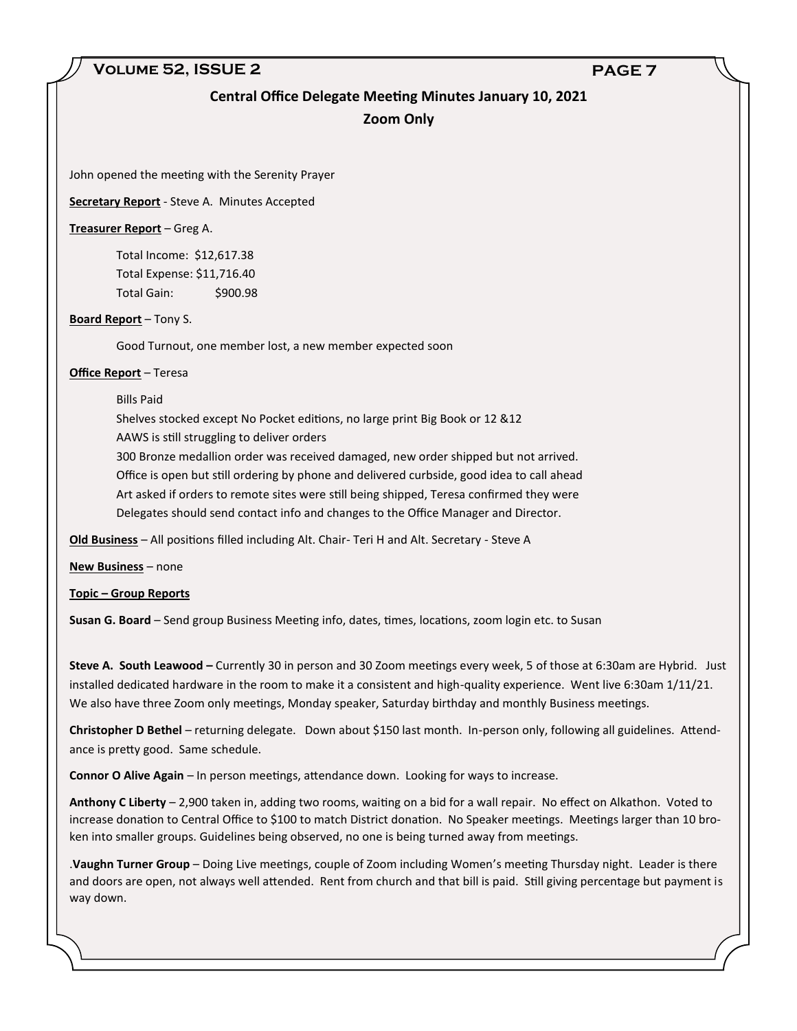#### **Volume 52, ISSUE 2 PAGE 7**

## **Central Office Delegate Meeting Minutes January 10, 2021**

#### **Zoom Only**

John opened the meeting with the Serenity Prayer

**Secretary Report** - Steve A. Minutes Accepted

#### **Treasurer Report** – Greg A.

Total Income: \$12,617.38 Total Expense: \$11,716.40 Total Gain: \$900.98

#### **Board Report** – Tony S.

Good Turnout, one member lost, a new member expected soon

#### **Office Report** – Teresa

Bills Paid

Shelves stocked except No Pocket editions, no large print Big Book or 12 &12

AAWS is still struggling to deliver orders

300 Bronze medallion order was received damaged, new order shipped but not arrived. Office is open but still ordering by phone and delivered curbside, good idea to call ahead Art asked if orders to remote sites were still being shipped, Teresa confirmed they were Delegates should send contact info and changes to the Office Manager and Director.

**Old Business** – All positions filled including Alt. Chair- Teri H and Alt. Secretary - Steve A

**New Business** – none

#### **Topic – Group Reports**

**Susan G. Board** – Send group Business Meeting info, dates, times, locations, zoom login etc. to Susan

**Steve A. South Leawood –** Currently 30 in person and 30 Zoom meetings every week, 5 of those at 6:30am are Hybrid. Just installed dedicated hardware in the room to make it a consistent and high-quality experience. Went live 6:30am 1/11/21. We also have three Zoom only meetings, Monday speaker, Saturday birthday and monthly Business meetings.

**Christopher D Bethel** – returning delegate. Down about \$150 last month. In-person only, following all guidelines. Attendance is pretty good. Same schedule.

**Connor O Alive Again** – In person meetings, attendance down. Looking for ways to increase.

**Anthony C Liberty** – 2,900 taken in, adding two rooms, waiting on a bid for a wall repair. No effect on Alkathon. Voted to increase donation to Central Office to \$100 to match District donation. No Speaker meetings. Meetings larger than 10 broken into smaller groups. Guidelines being observed, no one is being turned away from meetings.

.**Vaughn Turner Group** – Doing Live meetings, couple of Zoom including Women's meeting Thursday night. Leader is there and doors are open, not always well attended. Rent from church and that bill is paid. Still giving percentage but payment is way down.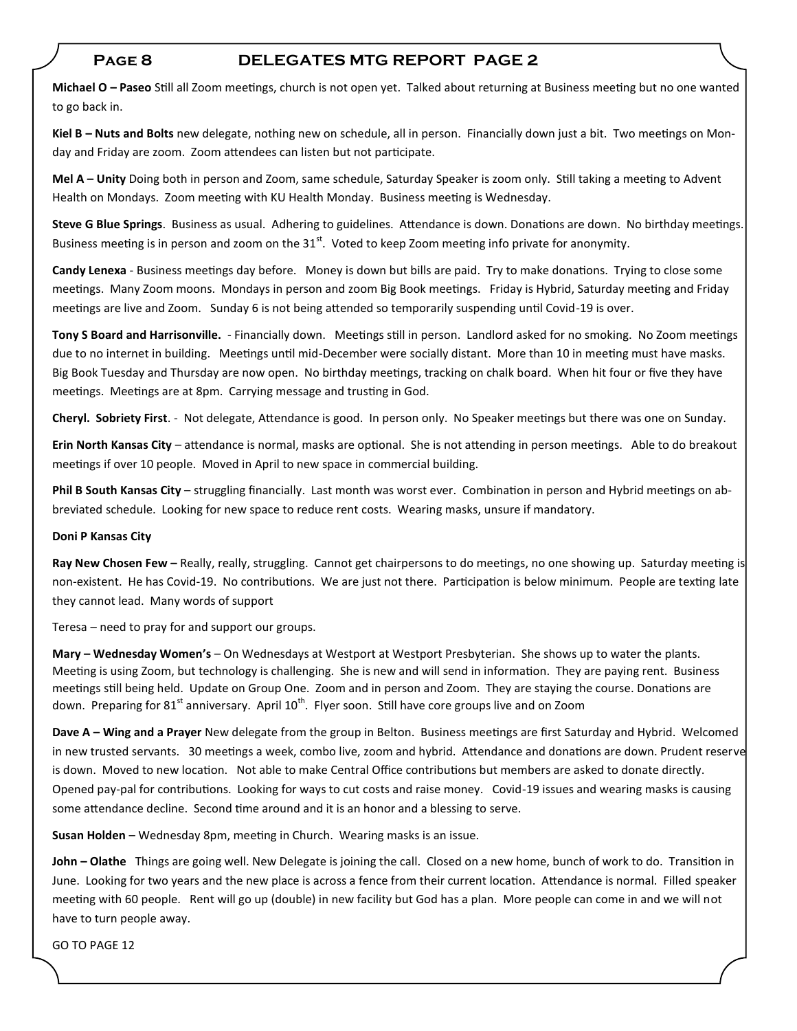#### **Page 8 DELEGATES MTG REPORT PAGE 2**

**Michael O – Paseo** Still all Zoom meetings, church is not open yet. Talked about returning at Business meeting but no one wanted to go back in.

**Kiel B – Nuts and Bolts** new delegate, nothing new on schedule, all in person. Financially down just a bit. Two meetings on Monday and Friday are zoom. Zoom attendees can listen but not participate.

**Mel A – Unity** Doing both in person and Zoom, same schedule, Saturday Speaker is zoom only. Still taking a meeting to Advent Health on Mondays. Zoom meeting with KU Health Monday. Business meeting is Wednesday.

**Steve G Blue Springs**. Business as usual. Adhering to guidelines. Attendance is down. Donations are down. No birthday meetings. Business meeting is in person and zoom on the  $31<sup>st</sup>$ . Voted to keep Zoom meeting info private for anonymity.

**Candy Lenexa** - Business meetings day before. Money is down but bills are paid. Try to make donations. Trying to close some meetings. Many Zoom moons. Mondays in person and zoom Big Book meetings. Friday is Hybrid, Saturday meeting and Friday meetings are live and Zoom. Sunday 6 is not being attended so temporarily suspending until Covid-19 is over.

**Tony S Board and Harrisonville.** - Financially down. Meetings still in person. Landlord asked for no smoking. No Zoom meetings due to no internet in building. Meetings until mid-December were socially distant. More than 10 in meeting must have masks. Big Book Tuesday and Thursday are now open. No birthday meetings, tracking on chalk board. When hit four or five they have meetings. Meetings are at 8pm. Carrying message and trusting in God.

**Cheryl. Sobriety First**. - Not delegate, Attendance is good. In person only. No Speaker meetings but there was one on Sunday.

**Erin North Kansas City** – attendance is normal, masks are optional. She is not attending in person meetings. Able to do breakout meetings if over 10 people. Moved in April to new space in commercial building.

**Phil B South Kansas City** – struggling financially. Last month was worst ever. Combination in person and Hybrid meetings on abbreviated schedule. Looking for new space to reduce rent costs. Wearing masks, unsure if mandatory.

#### **Doni P Kansas City**

**Ray New Chosen Few –** Really, really, struggling. Cannot get chairpersons to do meetings, no one showing up. Saturday meeting is non-existent. He has Covid-19. No contributions. We are just not there. Participation is below minimum. People are texting late they cannot lead. Many words of support

Teresa – need to pray for and support our groups.

**Mary – Wednesday Women's** – On Wednesdays at Westport at Westport Presbyterian. She shows up to water the plants. Meeting is using Zoom, but technology is challenging. She is new and will send in information. They are paying rent. Business meetings still being held. Update on Group One. Zoom and in person and Zoom. They are staying the course. Donations are down. Preparing for 81<sup>st</sup> anniversary. April 10<sup>th</sup>. Flyer soon. Still have core groups live and on Zoom

**Dave A – Wing and a Prayer** New delegate from the group in Belton. Business meetings are first Saturday and Hybrid. Welcomed in new trusted servants. 30 meetings a week, combo live, zoom and hybrid. Attendance and donations are down. Prudent reserve is down. Moved to new location. Not able to make Central Office contributions but members are asked to donate directly. Opened pay-pal for contributions. Looking for ways to cut costs and raise money. Covid-19 issues and wearing masks is causing some attendance decline. Second time around and it is an honor and a blessing to serve.

**Susan Holden** – Wednesday 8pm, meeting in Church. Wearing masks is an issue.

**John – Olathe** Things are going well. New Delegate is joining the call. Closed on a new home, bunch of work to do. Transition in June. Looking for two years and the new place is across a fence from their current location. Attendance is normal. Filled speaker meeting with 60 people. Rent will go up (double) in new facility but God has a plan. More people can come in and we will not have to turn people away.

GO TO PAGE 12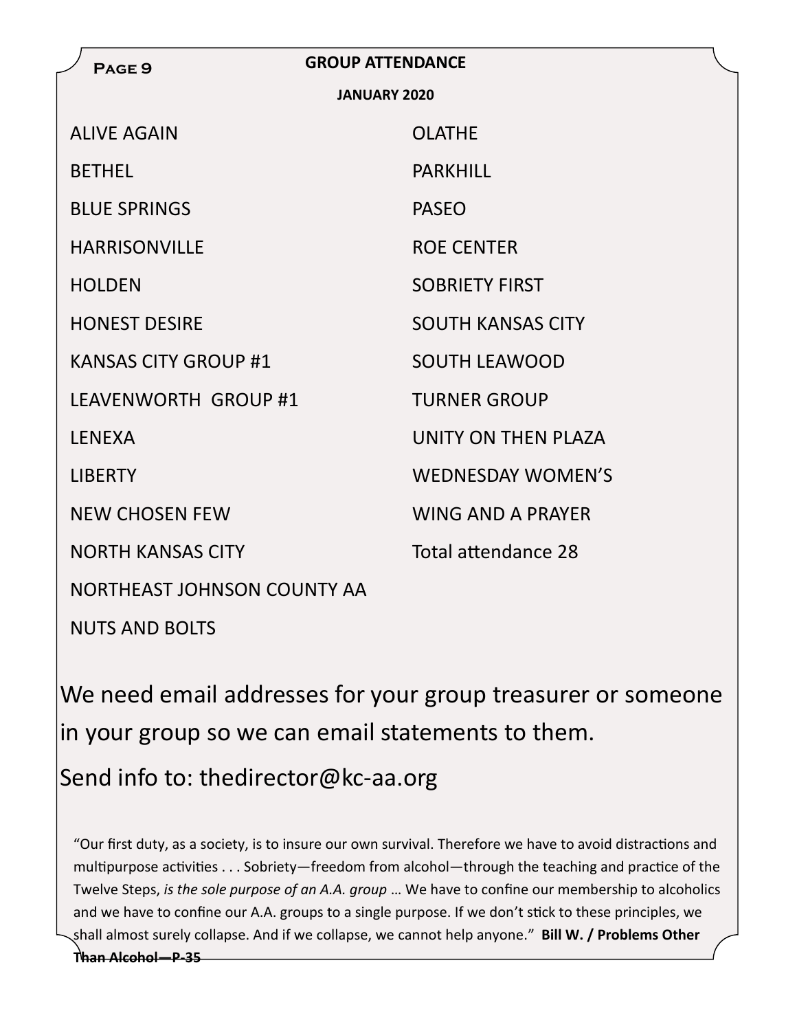| PAGE <sub>9</sub>           | <b>GROUP ATTENDANCE</b>    |  |  |  |  |
|-----------------------------|----------------------------|--|--|--|--|
| <b>JANUARY 2020</b>         |                            |  |  |  |  |
| <b>ALIVE AGAIN</b>          | <b>OLATHE</b>              |  |  |  |  |
| <b>BETHEL</b>               | <b>PARKHILL</b>            |  |  |  |  |
| <b>BLUE SPRINGS</b>         | <b>PASEO</b>               |  |  |  |  |
| <b>HARRISONVILLE</b>        | <b>ROE CENTER</b>          |  |  |  |  |
| <b>HOLDEN</b>               | <b>SOBRIETY FIRST</b>      |  |  |  |  |
| <b>HONEST DESIRE</b>        | <b>SOUTH KANSAS CITY</b>   |  |  |  |  |
| <b>KANSAS CITY GROUP #1</b> | <b>SOUTH LEAWOOD</b>       |  |  |  |  |
| LEAVENWORTH GROUP #1        | <b>TURNER GROUP</b>        |  |  |  |  |
| <b>LENEXA</b>               | <b>UNITY ON THEN PLAZA</b> |  |  |  |  |
| <b>LIBERTY</b>              | <b>WEDNESDAY WOMEN'S</b>   |  |  |  |  |
| <b>NEW CHOSEN FEW</b>       | <b>WING AND A PRAYER</b>   |  |  |  |  |
| <b>NORTH KANSAS CITY</b>    | Total attendance 28        |  |  |  |  |
| NORTHEAST JOHNSON COUNTY AA |                            |  |  |  |  |
| <b>NUTS AND BOLTS</b>       |                            |  |  |  |  |
|                             |                            |  |  |  |  |

We need email addresses for your group treasurer or someone in your group so we can email statements to them.

Send info to: thedirector@kc-aa.org

"Our first duty, as a society, is to insure our own survival. Therefore we have to avoid distractions and multipurpose activities . . . Sobriety—freedom from alcohol—through the teaching and practice of the Twelve Steps, *is the sole purpose of an A.A. group* … We have to confine our membership to alcoholics and we have to confine our A.A. groups to a single purpose. If we don't stick to these principles, we shall almost surely collapse. And if we collapse, we cannot help anyone." **Bill W. / Problems Other** 

**Than Alcohol—P-35**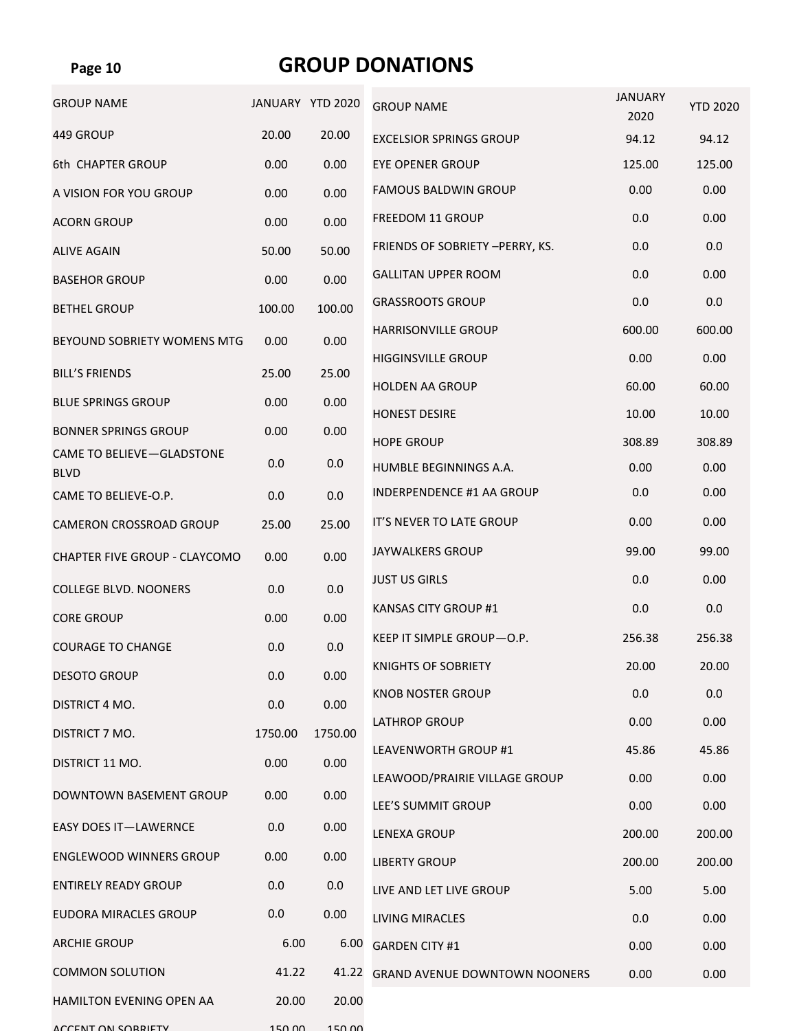### **GROUP DONATIONS**

| <b>GROUP NAME</b>                | JANUARY YTD 2020 |         | <b>GROUP NAME</b>                    | <b>JANUARY</b><br>2020 | <b>YTD 2020</b> |
|----------------------------------|------------------|---------|--------------------------------------|------------------------|-----------------|
| 449 GROUP                        | 20.00            | 20.00   | <b>EXCELSIOR SPRINGS GROUP</b>       | 94.12                  | 94.12           |
| 6th CHAPTER GROUP                | 0.00             | 0.00    | <b>EYE OPENER GROUP</b>              | 125.00                 | 125.00          |
| A VISION FOR YOU GROUP           | 0.00             | 0.00    | <b>FAMOUS BALDWIN GROUP</b>          | 0.00                   | 0.00            |
| <b>ACORN GROUP</b>               | 0.00             | 0.00    | <b>FREEDOM 11 GROUP</b>              | 0.0                    | 0.00            |
| <b>ALIVE AGAIN</b>               | 50.00            | 50.00   | FRIENDS OF SOBRIETY - PERRY, KS.     | 0.0                    | 0.0             |
| <b>BASEHOR GROUP</b>             | 0.00             | 0.00    | <b>GALLITAN UPPER ROOM</b>           | 0.0                    | 0.00            |
| <b>BETHEL GROUP</b>              | 100.00           | 100.00  | <b>GRASSROOTS GROUP</b>              | 0.0                    | 0.0             |
| BEYOUND SOBRIETY WOMENS MTG      | 0.00             | 0.00    | <b>HARRISONVILLE GROUP</b>           | 600.00                 | 600.00          |
| <b>BILL'S FRIENDS</b>            | 25.00            | 25.00   | <b>HIGGINSVILLE GROUP</b>            | 0.00                   | 0.00            |
| <b>BLUE SPRINGS GROUP</b>        | 0.00             | 0.00    | <b>HOLDEN AA GROUP</b>               | 60.00                  | 60.00           |
| <b>BONNER SPRINGS GROUP</b>      | 0.00             | 0.00    | <b>HONEST DESIRE</b>                 | 10.00                  | 10.00           |
| <b>CAME TO BELIEVE-GLADSTONE</b> |                  |         | <b>HOPE GROUP</b>                    | 308.89                 | 308.89          |
| <b>BLVD</b>                      | 0.0              | 0.0     | HUMBLE BEGINNINGS A.A.               | 0.00                   | 0.00            |
| CAME TO BELIEVE-O.P.             | 0.0              | 0.0     | <b>INDERPENDENCE #1 AA GROUP</b>     | 0.0                    | 0.00            |
| CAMERON CROSSROAD GROUP          | 25.00            | 25.00   | IT'S NEVER TO LATE GROUP             | 0.00                   | 0.00            |
| CHAPTER FIVE GROUP - CLAYCOMO    | 0.00             | 0.00    | <b>JAYWALKERS GROUP</b>              | 99.00                  | 99.00           |
| <b>COLLEGE BLVD. NOONERS</b>     | 0.0              | 0.0     | <b>JUST US GIRLS</b>                 | 0.0                    | 0.00            |
| <b>CORE GROUP</b>                | 0.00             | 0.00    | <b>KANSAS CITY GROUP #1</b>          | 0.0                    | 0.0             |
| <b>COURAGE TO CHANGE</b>         | 0.0              | 0.0     | KEEP IT SIMPLE GROUP-O.P.            | 256.38                 | 256.38          |
| <b>DESOTO GROUP</b>              | 0.0              | 0.00    | <b>KNIGHTS OF SOBRIETY</b>           | 20.00                  | 20.00           |
| DISTRICT 4 MO.                   | 0.0              | 0.00    | <b>KNOB NOSTER GROUP</b>             | 0.0                    | 0.0             |
| DISTRICT 7 MO.                   | 1750.00          | 1750.00 | <b>LATHROP GROUP</b>                 | 0.00                   | 0.00            |
| DISTRICT 11 MO.                  | 0.00             | 0.00    | LEAVENWORTH GROUP #1                 | 45.86                  | 45.86           |
| DOWNTOWN BASEMENT GROUP          | 0.00             | 0.00    | LEAWOOD/PRAIRIE VILLAGE GROUP        | 0.00                   | 0.00            |
|                                  |                  |         | LEE'S SUMMIT GROUP                   | 0.00                   | 0.00            |
| <b>EASY DOES IT-LAWERNCE</b>     | 0.0              | 0.00    | <b>LENEXA GROUP</b>                  | 200.00                 | 200.00          |
| <b>ENGLEWOOD WINNERS GROUP</b>   | 0.00             | 0.00    | <b>LIBERTY GROUP</b>                 | 200.00                 | 200.00          |
| <b>ENTIRELY READY GROUP</b>      | 0.0              | 0.0     | LIVE AND LET LIVE GROUP              | 5.00                   | 5.00            |
| EUDORA MIRACLES GROUP            | 0.0              | 0.00    | <b>LIVING MIRACLES</b>               | 0.0                    | 0.00            |
| <b>ARCHIE GROUP</b>              | 6.00             | 6.00    | <b>GARDEN CITY #1</b>                | 0.00                   | 0.00            |
| <b>COMMON SOLUTION</b>           | 41.22            | 41.22   | <b>GRAND AVENUE DOWNTOWN NOONERS</b> | 0.00                   | 0.00            |
| HAMILTON EVENING OPEN AA         | 20.00            | 20.00   |                                      |                        |                 |
| ACCENIT ON CORDIETY              | 150.00           | 150.00  |                                      |                        |                 |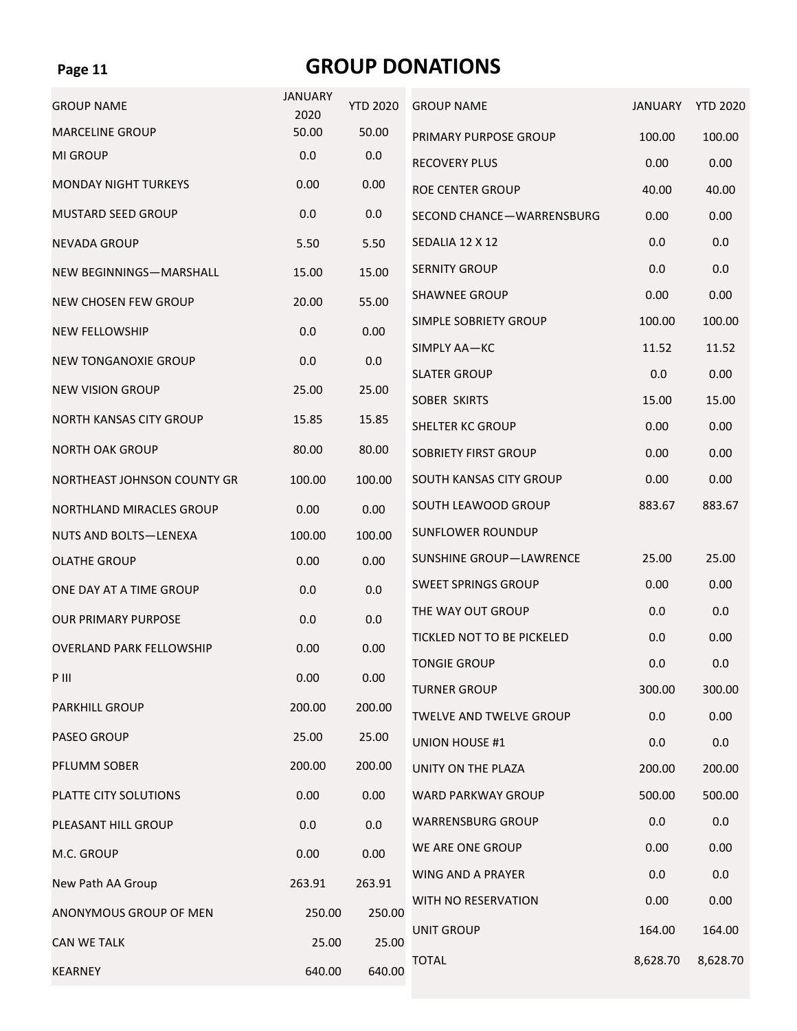## **GROUP DONATIONS**

| <b>GROUP NAME</b>               | <b>JANUARY</b><br>2020 | <b>YTD 2020</b> | <b>GROUP NAME</b>              | <b>JANUARY</b> | <b>YTD 2020</b> |
|---------------------------------|------------------------|-----------------|--------------------------------|----------------|-----------------|
| <b>MARCELINE GROUP</b>          | 50.00                  | 50.00           | PRIMARY PURPOSE GROUP          | 100.00         | 100.00          |
| <b>MI GROUP</b>                 | 0.0                    | 0.0             | <b>RECOVERY PLUS</b>           | 0.00           | 0.00            |
| <b>MONDAY NIGHT TURKEYS</b>     | 0.00                   | 0.00            | <b>ROE CENTER GROUP</b>        | 40.00          | 40.00           |
| <b>MUSTARD SEED GROUP</b>       | 0.0                    | 0.0             | SECOND CHANCE-WARRENSBURG      | 0.00           | 0.00            |
| <b>NEVADA GROUP</b>             | 5.50                   | 5.50            | SEDALIA 12 X 12                | 0.0            | 0.0             |
| NEW BEGINNINGS-MARSHALL         | 15.00                  | 15.00           | <b>SERNITY GROUP</b>           | 0.0            | 0.0             |
| <b>NEW CHOSEN FEW GROUP</b>     | 20.00                  | 55.00           | <b>SHAWNEE GROUP</b>           | 0.00           | 0.00            |
| <b>NEW FELLOWSHIP</b>           | 0.0                    | 0.00            | SIMPLE SOBRIETY GROUP          | 100.00         | 100.00          |
| <b>NEW TONGANOXIE GROUP</b>     | 0.0                    | 0.0             | SIMPLY AA-KC                   | 11.52          | 11.52           |
|                                 |                        |                 | <b>SLATER GROUP</b>            | 0.0            | 0.00            |
| <b>NEW VISION GROUP</b>         | 25.00                  | 25.00           | <b>SOBER SKIRTS</b>            | 15.00          | 15.00           |
| <b>NORTH KANSAS CITY GROUP</b>  | 15.85                  | 15.85           | SHELTER KC GROUP               | 0.00           | 0.00            |
| <b>NORTH OAK GROUP</b>          | 80.00                  | 80.00           | <b>SOBRIETY FIRST GROUP</b>    | 0.00           | 0.00            |
| NORTHEAST JOHNSON COUNTY GR     | 100.00                 | 100.00          | SOUTH KANSAS CITY GROUP        | 0.00           | 0.00            |
| NORTHLAND MIRACLES GROUP        | 0.00                   | 0.00            | SOUTH LEAWOOD GROUP            | 883.67         | 883.67          |
| <b>NUTS AND BOLTS-LENEXA</b>    | 100.00                 | 100.00          | <b>SUNFLOWER ROUNDUP</b>       |                |                 |
| <b>OLATHE GROUP</b>             | 0.00                   | 0.00            | SUNSHINE GROUP-LAWRENCE        | 25.00          | 25.00           |
| ONE DAY AT A TIME GROUP         | 0.0                    | 0.0             | <b>SWEET SPRINGS GROUP</b>     | 0.00           | 0.00            |
| <b>OUR PRIMARY PURPOSE</b>      | 0.0                    | 0.0             | THE WAY OUT GROUP              | 0.0            | 0.0             |
| <b>OVERLAND PARK FELLOWSHIP</b> | 0.00                   | 0.00            | TICKLED NOT TO BE PICKELED     | 0.0            | 0.00            |
| P III                           | 0.00                   | 0.00            | <b>TONGIE GROUP</b>            | 0.0            | 0.0             |
|                                 |                        |                 | <b>TURNER GROUP</b>            | 300.00         | 300.00          |
| <b>PARKHILL GROUP</b>           | 200.00                 | 200.00          | <b>TWELVE AND TWELVE GROUP</b> | 0.0            | 0.00            |
| <b>PASEO GROUP</b>              | 25.00                  | 25.00           | <b>UNION HOUSE #1</b>          | 0.0            | 0.0             |
| PFLUMM SOBER                    | 200.00                 | 200.00          | UNITY ON THE PLAZA             | 200.00         | 200.00          |
| PLATTE CITY SOLUTIONS           | 0.00                   | 0.00            | WARD PARKWAY GROUP             | 500.00         | 500.00          |
| PLEASANT HILL GROUP             | 0.0                    | 0.0             | <b>WARRENSBURG GROUP</b>       | 0.0            | 0.0             |
| M.C. GROUP                      | 0.00                   | 0.00            | WE ARE ONE GROUP               | 0.00           | 0.00            |
| New Path AA Group               | 263.91                 | 263.91          | WING AND A PRAYER              | 0.0            | 0.0             |
| ANONYMOUS GROUP OF MEN          | 250.00                 | 250.00          | WITH NO RESERVATION            | 0.00           | 0.00            |
| <b>CAN WE TALK</b>              | 25.00                  | 25.00           | UNIT GROUP                     | 164.00         | 164.00          |
| <b>KEARNEY</b>                  | 640.00                 | 640.00          | <b>TOTAL</b>                   | 8,628.70       | 8,628.70        |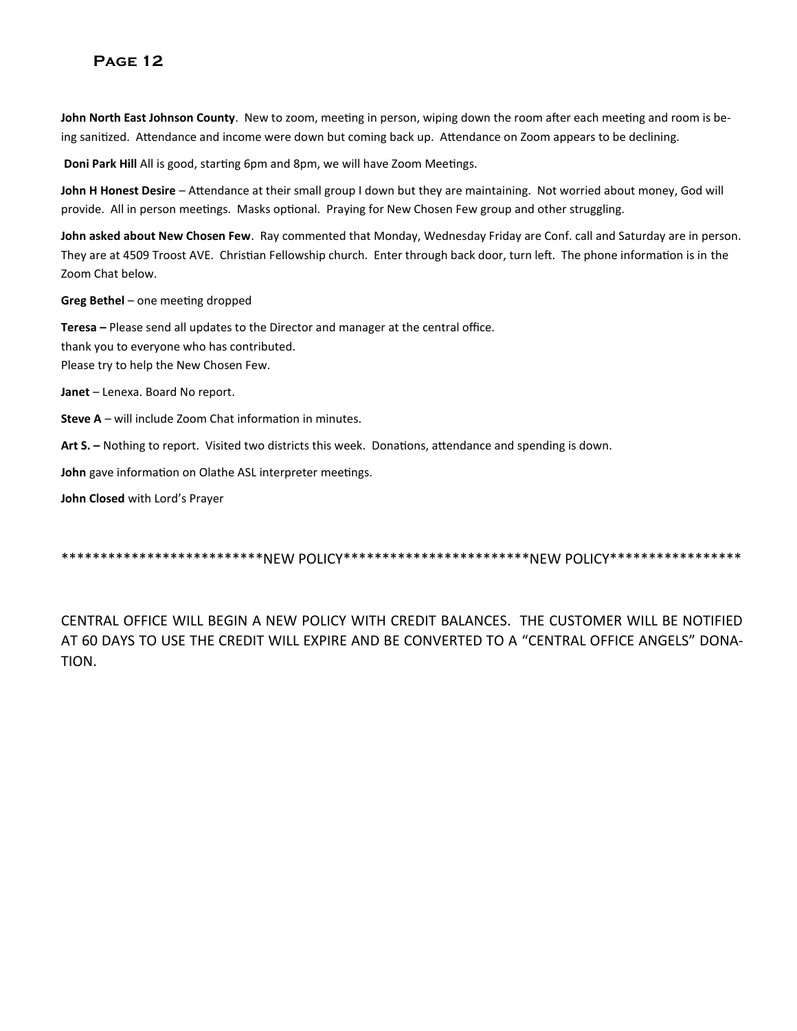**John North East Johnson County**. New to zoom, meeting in person, wiping down the room after each meeting and room is being sanitized. Attendance and income were down but coming back up. Attendance on Zoom appears to be declining.

**Doni Park Hill** All is good, starting 6pm and 8pm, we will have Zoom Meetings.

**John H Honest Desire** – Attendance at their small group I down but they are maintaining. Not worried about money, God will provide. All in person meetings. Masks optional. Praying for New Chosen Few group and other struggling.

**John asked about New Chosen Few**. Ray commented that Monday, Wednesday Friday are Conf. call and Saturday are in person. They are at 4509 Troost AVE. Christian Fellowship church. Enter through back door, turn left. The phone information is in the Zoom Chat below.

**Greg Bethel** – one meeting dropped

**Teresa –** Please send all updates to the Director and manager at the central office. thank you to everyone who has contributed. Please try to help the New Chosen Few.

**Janet** – Lenexa. Board No report.

**Steve A** – will include Zoom Chat information in minutes.

**Art S. –** Nothing to report. Visited two districts this week. Donations, attendance and spending is down.

**John** gave information on Olathe ASL interpreter meetings.

**John Closed** with Lord's Prayer

\*\*\*\*\*\*\*\*\*\*\*\*\*\*\*\*\*\*\*\*\*\*\*\*\*NEW POLICY\*\*\*\*\*\*\*\*\*\*\*\*\*\*\*\*\*\*\*\*\*\*NEW POLICY\*\*\*\*\*\*\*\*\*\*\*\*\*\*\*

CENTRAL OFFICE WILL BEGIN A NEW POLICY WITH CREDIT BALANCES. THE CUSTOMER WILL BE NOTIFIED AT 60 DAYS TO USE THE CREDIT WILL EXPIRE AND BE CONVERTED TO A "CENTRAL OFFICE ANGELS" DONA-TION.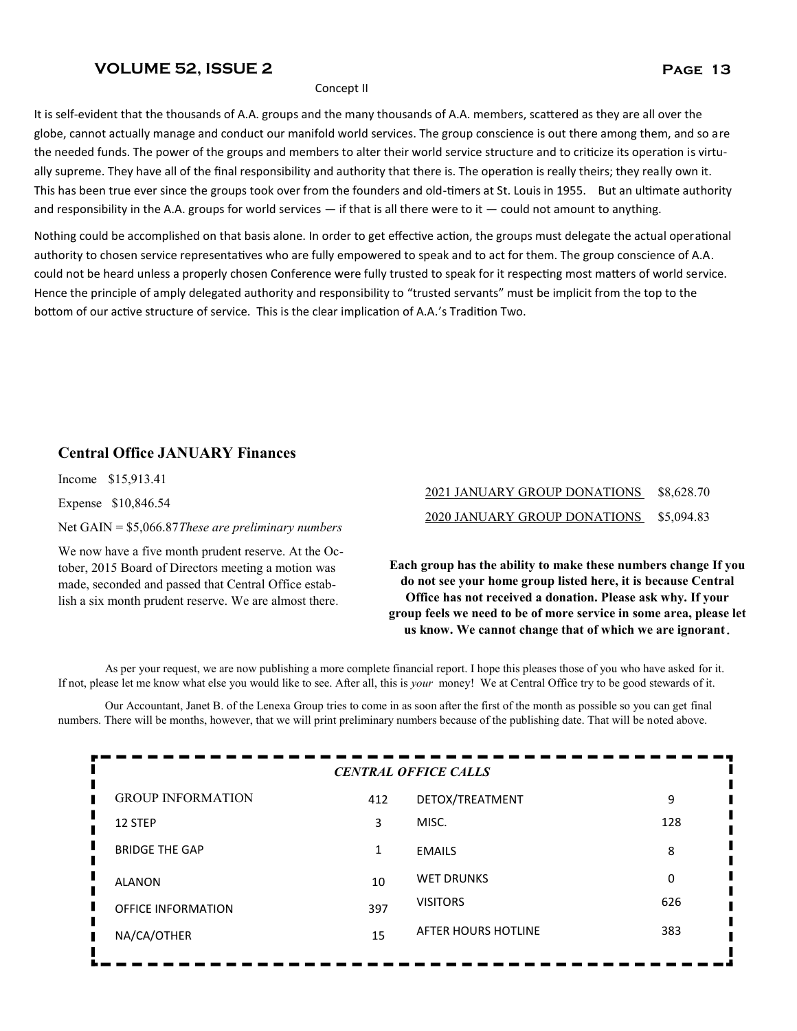#### **VOLUME 52, ISSUE 2 Page 13**

#### Concept II

It is self-evident that the thousands of A.A. groups and the many thousands of A.A. members, scattered as they are all over the globe, cannot actually manage and conduct our manifold world services. The group conscience is out there among them, and so are the needed funds. The power of the groups and members to alter their world service structure and to criticize its operation is virtually supreme. They have all of the final responsibility and authority that there is. The operation is really theirs; they really own it. This has been true ever since the groups took over from the founders and old-timers at St. Louis in 1955. But an ultimate authority and responsibility in the A.A. groups for world services  $-$  if that is all there were to it  $-$  could not amount to anything.

Nothing could be accomplished on that basis alone. In order to get effective action, the groups must delegate the actual operational authority to chosen service representatives who are fully empowered to speak and to act for them. The group conscience of A.A. could not be heard unless a properly chosen Conference were fully trusted to speak for it respecting most matters of world service. Hence the principle of amply delegated authority and responsibility to "trusted servants" must be implicit from the top to the bottom of our active structure of service. This is the clear implication of A.A.'s Tradition Two.

#### **Central Office JANUARY Finances**

Income \$15,913.41

Expense \$10,846.54

Net GAIN = \$5,066.87*These are preliminary numbers*

We now have a five month prudent reserve. At the October, 2015 Board of Directors meeting a motion was made, seconded and passed that Central Office establish a six month prudent reserve. We are almost there.

### 2021 JANUARY GROUP DONATIONS \$8,628.70 2020 JANUARY GROUP DONATIONS \$5,094.83

**Each group has the ability to make these numbers change If you do not see your home group listed here, it is because Central Office has not received a donation. Please ask why. If your group feels we need to be of more service in some area, please let us know. We cannot change that of which we are ignorant.** 

As per your request, we are now publishing a more complete financial report. I hope this pleases those of you who have asked for it. If not, please let me know what else you would like to see. After all, this is *your* money! We at Central Office try to be good stewards of it.

Our Accountant, Janet B. of the Lenexa Group tries to come in as soon after the first of the month as possible so you can get final numbers. There will be months, however, that we will print preliminary numbers because of the publishing date. That will be noted above.

| <b>CENTRAL OFFICE CALLS</b>   |     |                     |     |  |
|-------------------------------|-----|---------------------|-----|--|
| П<br><b>GROUP INFORMATION</b> | 412 | DETOX/TREATMENT     | 9   |  |
| Ц<br>12 STEP                  | 3   | MISC.               | 128 |  |
| Π<br><b>BRIDGE THE GAP</b>    | 1   | <b>EMAILS</b>       | 8   |  |
| <b>ALANON</b>                 | 10  | <b>WET DRUNKS</b>   | 0   |  |
| <b>OFFICE INFORMATION</b>     | 397 | <b>VISITORS</b>     | 626 |  |
| NA/CA/OTHER                   | 15  | AFTER HOURS HOTLINE | 383 |  |
|                               |     |                     |     |  |